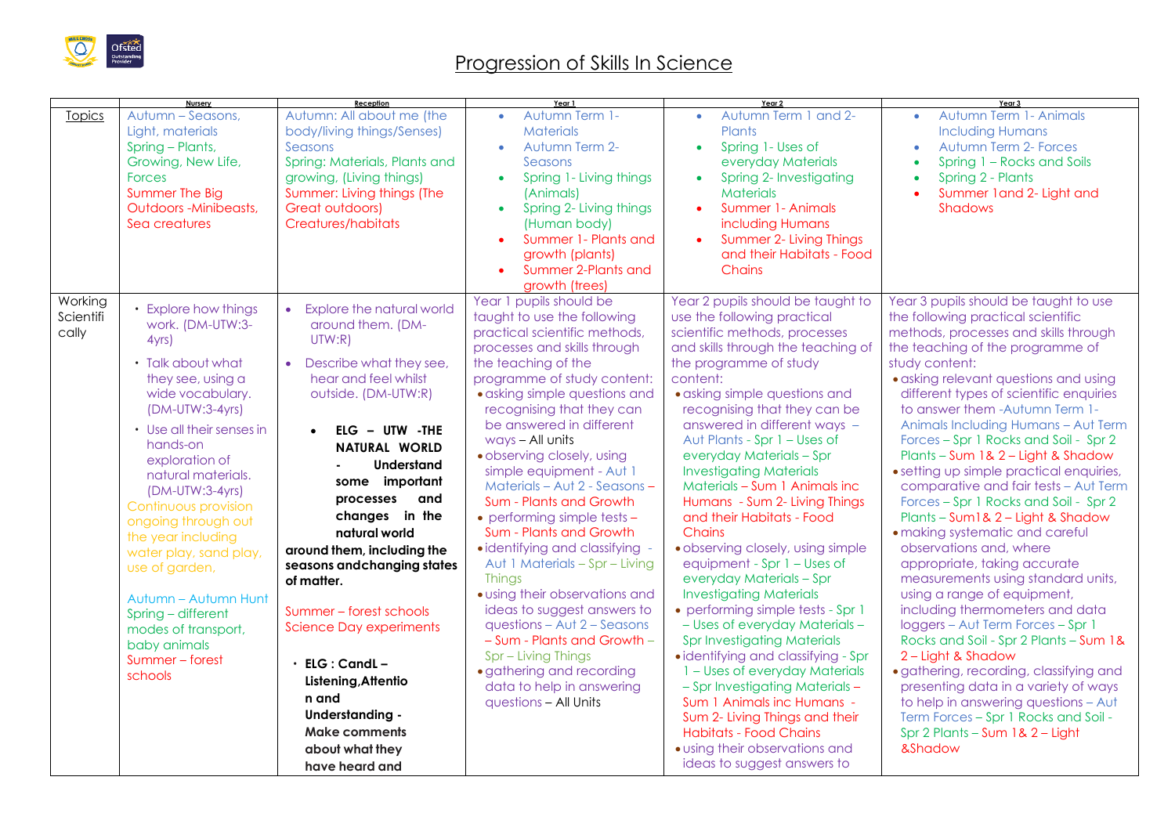

## Progression of Skills In Science

|                               | Nursery                                                                                                                                                                                                                                                                                                                                                                                                                                                                 | Reception                                                                                                                                                                                                                                                                                                                                                                                                                                                                                                                                                                      | Year 1                                                                                                                                                                                                                                                                                                                                                                                                                                                                                                                                                                                                                                                                                                                                                                                                       | Year 2                                                                                                                                                                                                                                                                                                                                                                                                                                                                                                                                                                                                                                                                                                                                                                                                                                                                                                                                                                                                            | Year 3                                                                                                                                                                                                                                                                                                                                                                                                                                                                                                                                                                                                                                                                                                                                                                                                                                                                                                                                                                                                                                                                                                                 |
|-------------------------------|-------------------------------------------------------------------------------------------------------------------------------------------------------------------------------------------------------------------------------------------------------------------------------------------------------------------------------------------------------------------------------------------------------------------------------------------------------------------------|--------------------------------------------------------------------------------------------------------------------------------------------------------------------------------------------------------------------------------------------------------------------------------------------------------------------------------------------------------------------------------------------------------------------------------------------------------------------------------------------------------------------------------------------------------------------------------|--------------------------------------------------------------------------------------------------------------------------------------------------------------------------------------------------------------------------------------------------------------------------------------------------------------------------------------------------------------------------------------------------------------------------------------------------------------------------------------------------------------------------------------------------------------------------------------------------------------------------------------------------------------------------------------------------------------------------------------------------------------------------------------------------------------|-------------------------------------------------------------------------------------------------------------------------------------------------------------------------------------------------------------------------------------------------------------------------------------------------------------------------------------------------------------------------------------------------------------------------------------------------------------------------------------------------------------------------------------------------------------------------------------------------------------------------------------------------------------------------------------------------------------------------------------------------------------------------------------------------------------------------------------------------------------------------------------------------------------------------------------------------------------------------------------------------------------------|------------------------------------------------------------------------------------------------------------------------------------------------------------------------------------------------------------------------------------------------------------------------------------------------------------------------------------------------------------------------------------------------------------------------------------------------------------------------------------------------------------------------------------------------------------------------------------------------------------------------------------------------------------------------------------------------------------------------------------------------------------------------------------------------------------------------------------------------------------------------------------------------------------------------------------------------------------------------------------------------------------------------------------------------------------------------------------------------------------------------|
| <b>Topics</b>                 | Autumn - Seasons,<br>Light, materials<br>Spring - Plants,<br>Growing, New Life,<br><b>Forces</b><br>Summer The Big<br><b>Outdoors -Minibeasts,</b><br>Sea creatures                                                                                                                                                                                                                                                                                                     | Autumn: All about me (the<br>body/living things/Senses)<br>Seasons<br>Spring: Materials, Plants and<br>growing, (Living things)<br>Summer: Living things (The<br>Great outdoors)<br><b>Creatures/habitats</b>                                                                                                                                                                                                                                                                                                                                                                  | Autumn Term 1-<br>$\bullet$<br><b>Materials</b><br>Autumn Term 2-<br>Seasons<br>Spring 1- Living things<br>$\bullet$<br>(Animals)<br>Spring 2- Living things<br>(Human body)<br>Summer 1- Plants and<br>$\bullet$<br>growth (plants)<br>Summer 2-Plants and<br>growth (trees)                                                                                                                                                                                                                                                                                                                                                                                                                                                                                                                                | Autumn Term 1 and 2-<br>$\bullet$<br>Plants<br>Spring 1- Uses of<br>$\bullet$<br>everyday Materials<br>Spring 2- Investigating<br>$\bullet$<br><b>Materials</b><br>Summer 1- Animals<br>including Humans<br>Summer 2- Living Things<br>$\bullet$<br>and their Habitats - Food<br>Chains                                                                                                                                                                                                                                                                                                                                                                                                                                                                                                                                                                                                                                                                                                                           | Autumn Term 1- Animals<br>$\bullet$<br><b>Including Humans</b><br><b>Autumn Term 2- Forces</b><br>Spring 1 - Rocks and Soils<br>$\bullet$<br>Spring 2 - Plants<br>Summer 1 and 2- Light and<br><b>Shadows</b>                                                                                                                                                                                                                                                                                                                                                                                                                                                                                                                                                                                                                                                                                                                                                                                                                                                                                                          |
| Working<br>Scientifi<br>cally | • Explore how things<br>work. (DM-UTW:3-<br>4yrs<br>• Talk about what<br>they see, using a<br>wide vocabulary.<br>(DM-UTW:3-4yrs)<br>• Use all their senses in<br>hands-on<br>exploration of<br>natural materials.<br>(DM-UTW:3-4yrs)<br>Continuous provision<br>ongoing through out<br>the year including<br>water play, sand play,<br>use of garden,<br>Autumn - Autumn Hunt<br>Spring - different<br>modes of transport,<br>baby animals<br>Summer-forest<br>schools | <b>Explore the natural world</b><br>$\bullet$<br>around them. (DM-<br>UTW:R)<br>Describe what they see,<br>$\bullet$<br>hear and feel whilst<br>outside. (DM-UTW:R)<br>$ELG - UTW - THE$<br>NATURAL WORLD<br><b>Understand</b><br>some important<br>and<br>processes<br>changes in the<br>natural world<br>around them, including the<br>seasons and changing states<br>of matter.<br>Summer – forest schools<br><b>Science Day experiments</b><br>ELG: CandL-<br>Listening, Attentio<br>n and<br>Understanding -<br><b>Make comments</b><br>about what they<br>have heard and | Year 1 pupils should be<br>taught to use the following<br>practical scientific methods,<br>processes and skills through<br>the teaching of the<br>programme of study content:<br>· asking simple questions and<br>recognising that they can<br>be answered in different<br>ways - All units<br>· observing closely, using<br>simple equipment - Aut 1<br>Materials - Aut 2 - Seasons -<br>Sum - Plants and Growth<br>• performing simple tests -<br>Sum - Plants and Growth<br>· identifying and classifying<br>Aut 1 Materials - Spr - Living<br><b>Things</b><br>· using their observations and<br>ideas to suggest answers to<br>questions $-$ Aut $2 -$ Seasons<br>- Sum - Plants and Growth -<br>Spr - Living Things<br>· gathering and recording<br>data to help in answering<br>questions - All Units | Year 2 pupils should be taught to<br>use the following practical<br>scientific methods, processes<br>and skills through the teaching of<br>the programme of study<br>content:<br>• asking simple questions and<br>recognising that they can be<br>answered in different ways -<br>Aut Plants - Spr 1 – Uses of<br>everyday Materials - Spr<br><b>Investigating Materials</b><br>Materials - Sum 1 Animals inc<br>Humans - Sum 2- Living Things<br>and their Habitats - Food<br>Chains<br>· observing closely, using simple<br>equipment - Spr 1 – Uses of<br>everyday Materials - Spr<br><b>Investigating Materials</b><br>• performing simple tests - Spr 1<br>- Uses of everyday Materials-<br><b>Spr Investigating Materials</b><br>· identifying and classifying - Spr<br>1 - Uses of everyday Materials<br>- Spr Investigating Materials -<br>Sum 1 Animals inc Humans -<br>Sum 2- Living Things and their<br><b>Habitats - Food Chains</b><br>· using their observations and<br>ideas to suggest answers to | Year 3 pupils should be taught to use<br>the following practical scientific<br>methods, processes and skills through<br>the teaching of the programme of<br>study content:<br>· asking relevant questions and using<br>different types of scientific enquiries<br>to answer them - Autumn Term 1-<br>Animals Including Humans - Aut Term<br>Forces - Spr 1 Rocks and Soil - Spr 2<br>Plants - Sum 1& 2 - Light & Shadow<br>• setting up simple practical enquiries,<br>comparative and fair tests - Aut Term<br>Forces - Spr 1 Rocks and Soil - Spr 2<br>Plants - Sum1& 2 - Light & Shadow<br>· making systematic and careful<br>observations and, where<br>appropriate, taking accurate<br>measurements using standard units,<br>using a range of equipment,<br>including thermometers and data<br>loggers - Aut Term Forces - Spr 1<br>Rocks and Soil - Spr 2 Plants - Sum 1&<br>2 - Light & Shadow<br>· gathering, recording, classifying and<br>presenting data in a variety of ways<br>to help in answering questions - Aut<br>Term Forces - Spr 1 Rocks and Soil -<br>Spr 2 Plants - Sum 1& 2 - Light<br>&Shadow |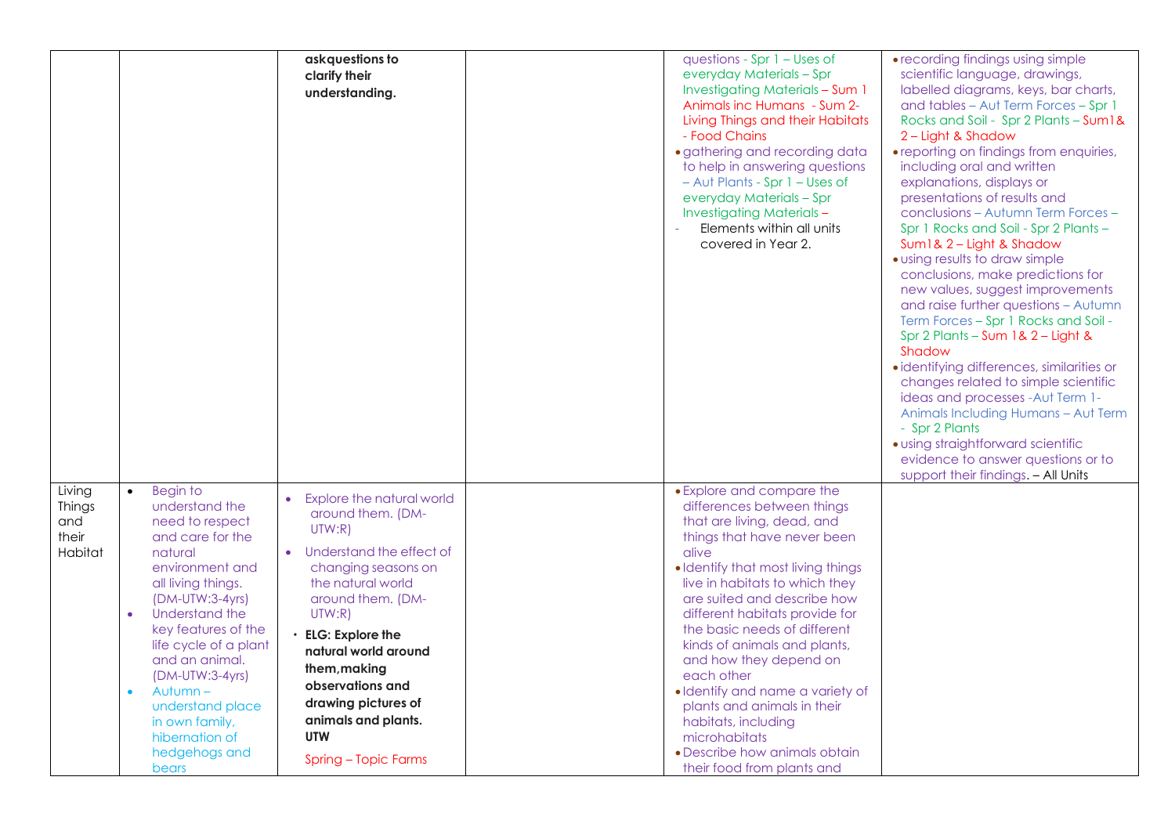|         |                             | ask questions to          | questions - Spr $1$ – Uses of          | • recording findings using simple          |
|---------|-----------------------------|---------------------------|----------------------------------------|--------------------------------------------|
|         |                             | clarify their             | everyday Materials - Spr               | scientific language, drawings,             |
|         |                             |                           | <b>Investigating Materials - Sum 1</b> | labelled diagrams, keys, bar charts,       |
|         |                             | understanding.            | Animals inc Humans - Sum 2-            |                                            |
|         |                             |                           |                                        | and tables - Aut Term Forces - Spr 1       |
|         |                             |                           | Living Things and their Habitats       | Rocks and Soil - Spr 2 Plants - Sum1&      |
|         |                             |                           | - Food Chains                          | 2 - Light & Shadow                         |
|         |                             |                           | · gathering and recording data         | • reporting on findings from enquiries,    |
|         |                             |                           | to help in answering questions         | including oral and written                 |
|         |                             |                           | - Aut Plants - Spr 1 - Uses of         | explanations, displays or                  |
|         |                             |                           | everyday Materials - Spr               | presentations of results and               |
|         |                             |                           | <b>Investigating Materials -</b>       | conclusions - Autumn Term Forces -         |
|         |                             |                           | Elements within all units              | Spr 1 Rocks and Soil - Spr 2 Plants -      |
|         |                             |                           | covered in Year 2.                     | Sum1& 2 - Light & Shadow                   |
|         |                             |                           |                                        | · using results to draw simple             |
|         |                             |                           |                                        | conclusions, make predictions for          |
|         |                             |                           |                                        | new values, suggest improvements           |
|         |                             |                           |                                        | and raise further questions - Autumn       |
|         |                             |                           |                                        | Term Forces - Spr 1 Rocks and Soil -       |
|         |                             |                           |                                        | Spr 2 Plants - Sum 1& 2 - Light &          |
|         |                             |                           |                                        | Shadow                                     |
|         |                             |                           |                                        | · identifying differences, similarities or |
|         |                             |                           |                                        | changes related to simple scientific       |
|         |                             |                           |                                        | ideas and processes - Aut Term 1-          |
|         |                             |                           |                                        | Animals Including Humans - Aut Term        |
|         |                             |                           |                                        | - Spr 2 Plants                             |
|         |                             |                           |                                        | · using straightforward scientific         |
|         |                             |                           |                                        | evidence to answer questions or to         |
|         |                             |                           |                                        | support their findings. - All Units        |
| Living  | Begin to<br>$\bullet$       |                           | • Explore and compare the              |                                            |
| Things  | understand the              | Explore the natural world | differences between things             |                                            |
| and     | need to respect             | around them. (DM-         | that are living, dead, and             |                                            |
| their   | and care for the            | UTW:R)                    | things that have never been            |                                            |
| Habitat | natural                     | Understand the effect of  | alive                                  |                                            |
|         | environment and             | changing seasons on       | • Identify that most living things     |                                            |
|         | all living things.          | the natural world         | live in habitats to which they         |                                            |
|         | $(DM-UTW:3-4yrs)$           | around them. (DM-         | are suited and describe how            |                                            |
|         | Understand the<br>$\bullet$ | UTW:R)                    | different habitats provide for         |                                            |
|         | key features of the         |                           | the basic needs of different           |                                            |
|         | life cycle of a plant       | $\cdot$ ELG: Explore the  | kinds of animals and plants,           |                                            |
|         | and an animal.              | natural world around      | and how they depend on                 |                                            |
|         | $(DM-UTW:3-4yrs)$           | them, making              | each other                             |                                            |
|         | Autumn-<br>$\bullet$        | observations and          | · Identify and name a variety of       |                                            |
|         | understand place            | drawing pictures of       | plants and animals in their            |                                            |
|         | in own family,              | animals and plants.       | habitats, including                    |                                            |
|         | hibernation of              | <b>UTW</b>                | microhabitats                          |                                            |
|         | hedgehogs and               |                           | • Describe how animals obtain          |                                            |
|         | bears                       | Spring - Topic Farms      | their food from plants and             |                                            |
|         |                             |                           |                                        |                                            |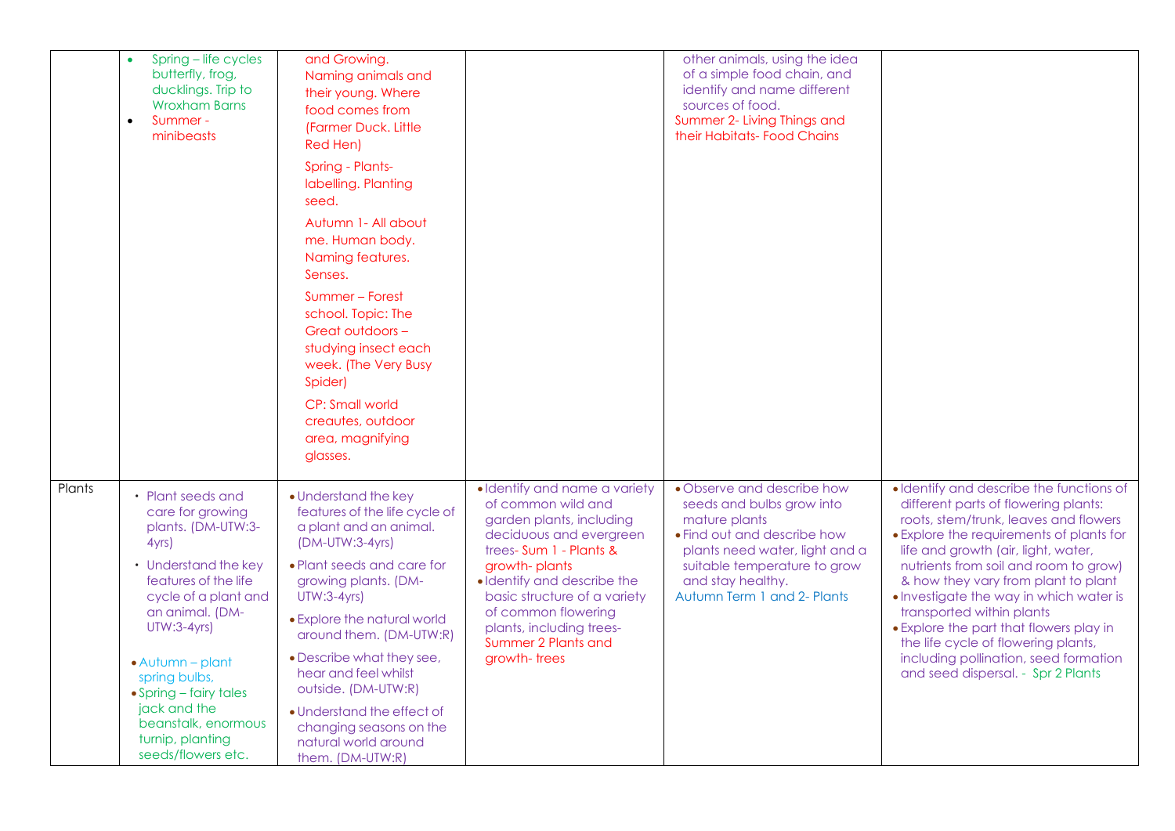|        | Spring - life cycles<br>butterfly, frog,<br>ducklings. Trip to<br><b>Wroxham Barns</b><br>Summer-<br>$\bullet$<br>minibeasts | and Growing.<br>Naming animals and<br>their young. Where<br>food comes from<br>(Farmer Duck, Little)<br>Red Hen)     |                                                                                                                                      | other animals, using the idea<br>of a simple food chain, and<br>identify and name different<br>sources of food.<br>Summer 2- Living Things and<br>their Habitats- Food Chains |                                                                                                                                                                                                              |
|--------|------------------------------------------------------------------------------------------------------------------------------|----------------------------------------------------------------------------------------------------------------------|--------------------------------------------------------------------------------------------------------------------------------------|-------------------------------------------------------------------------------------------------------------------------------------------------------------------------------|--------------------------------------------------------------------------------------------------------------------------------------------------------------------------------------------------------------|
|        |                                                                                                                              | Spring - Plants-<br>labelling. Planting<br>seed.                                                                     |                                                                                                                                      |                                                                                                                                                                               |                                                                                                                                                                                                              |
|        |                                                                                                                              | Autumn 1- All about<br>me. Human body.<br>Naming features.<br>Senses.                                                |                                                                                                                                      |                                                                                                                                                                               |                                                                                                                                                                                                              |
|        |                                                                                                                              | Summer - Forest<br>school. Topic: The<br>Great outdoors -<br>studying insect each<br>week. (The Very Busy<br>Spider) |                                                                                                                                      |                                                                                                                                                                               |                                                                                                                                                                                                              |
|        |                                                                                                                              | CP: Small world<br>creautes, outdoor<br>area, magnifying<br>glasses.                                                 |                                                                                                                                      |                                                                                                                                                                               |                                                                                                                                                                                                              |
| Plants | • Plant seeds and<br>care for growing<br>plants. (DM-UTW:3-<br>4yrs)                                                         | • Understand the key<br>features of the life cycle of<br>a plant and an animal.<br>(DM-UTW:3-4yrs)                   | · Identify and name a variety<br>of common wild and<br>garden plants, including<br>deciduous and evergreen<br>trees-Sum 1 - Plants & | • Observe and describe how<br>seeds and bulbs grow into<br>mature plants<br>• Find out and describe how<br>plants need water, light and a                                     | · Identify and describe the functions of<br>different parts of flowering plants:<br>roots, stem/trunk, leaves and flowers<br>• Explore the requirements of plants for<br>life and growth (air, light, water, |
|        | • Understand the key<br>features of the life<br>cycle of a plant and                                                         | • Plant seeds and care for<br>growing plants. (DM-<br>$UTW:3-4yrs$                                                   | growth-plants<br>· Identify and describe the<br>basic structure of a variety                                                         | suitable temperature to grow<br>and stay healthy.<br>Autumn Term 1 and 2- Plants                                                                                              | nutrients from soil and room to grow)<br>& how they vary from plant to plant<br>. Investigate the way in which water is                                                                                      |
|        | an animal. (DM-<br><b>UTW:3-4yrs)</b>                                                                                        | • Explore the natural world<br>around them. (DM-UTW:R)                                                               | of common flowering<br>plants, including trees-<br>Summer 2 Plants and                                                               |                                                                                                                                                                               | transported within plants<br>• Explore the part that flowers play in<br>the life cycle of flowering plants,                                                                                                  |
|        | $\bullet$ Autumn – plant<br>spring bulbs,<br>$\bullet$ Spring – fairy tales                                                  | • Describe what they see,<br>hear and feel whilst<br>outside. (DM-UTW:R)                                             | growth-trees                                                                                                                         |                                                                                                                                                                               | including pollination, seed formation<br>and seed dispersal. - Spr 2 Plants                                                                                                                                  |
|        | jack and the<br>beanstalk, enormous<br>turnip, planting<br>seeds/flowers etc.                                                | • Understand the effect of<br>changing seasons on the<br>natural world around<br>them. (DM-UTW:R)                    |                                                                                                                                      |                                                                                                                                                                               |                                                                                                                                                                                                              |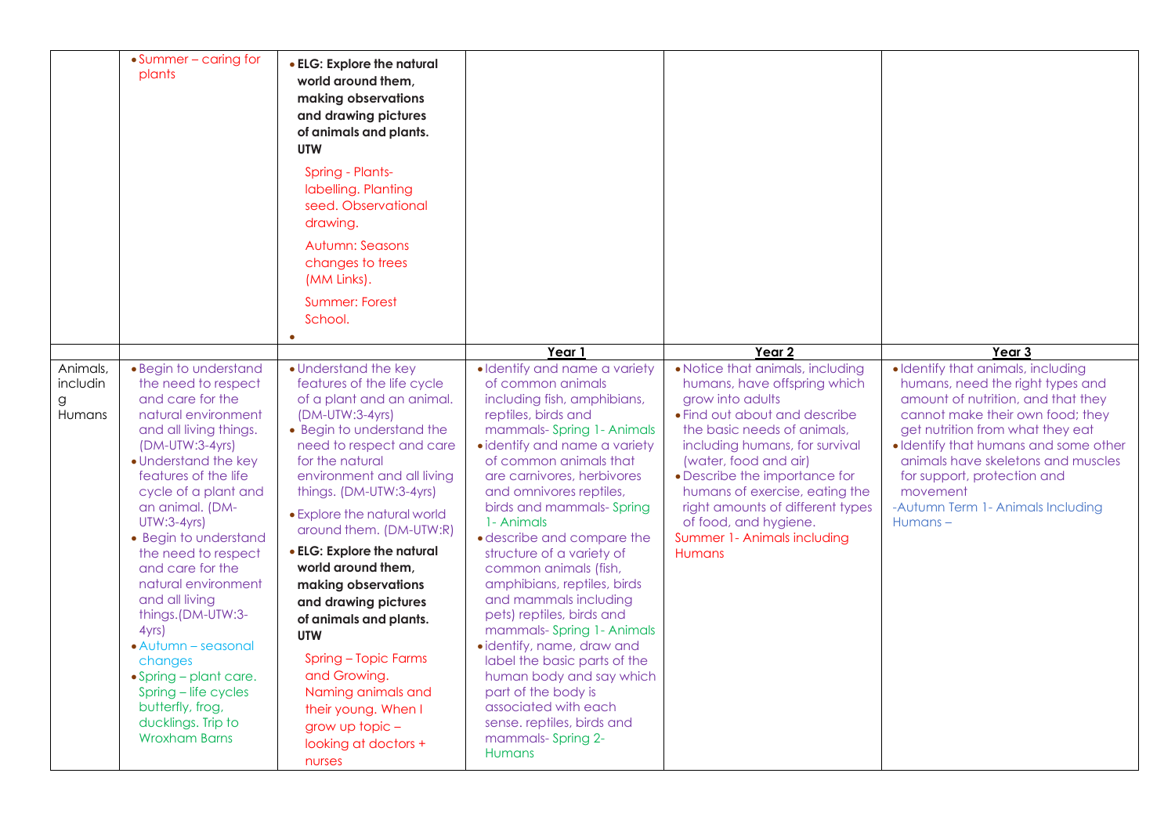|                                     | • Summer – caring for<br>plants                                                                                                                                                                                                                                                                                                                                                                                                                                                                                                                               | • ELG: Explore the natural<br>world around them,<br>making observations<br>and drawing pictures<br>of animals and plants.<br><b>UTW</b><br>Spring - Plants-<br>labelling. Planting<br>seed. Observational<br>drawing.<br><b>Autumn: Seasons</b><br>changes to trees<br>(MM Links).<br><b>Summer: Forest</b><br>School.<br>$\bullet$                                                                                                                                                                                                                                                      |                                                                                                                                                                                                                                                                                                                                                                                                                                                                                                                                                                                                                                                                                                                           |                                                                                                                                                                                                                                                                                                                                                                                                 |                                                                                                                                                                                                                                                                                                                                                                |
|-------------------------------------|---------------------------------------------------------------------------------------------------------------------------------------------------------------------------------------------------------------------------------------------------------------------------------------------------------------------------------------------------------------------------------------------------------------------------------------------------------------------------------------------------------------------------------------------------------------|------------------------------------------------------------------------------------------------------------------------------------------------------------------------------------------------------------------------------------------------------------------------------------------------------------------------------------------------------------------------------------------------------------------------------------------------------------------------------------------------------------------------------------------------------------------------------------------|---------------------------------------------------------------------------------------------------------------------------------------------------------------------------------------------------------------------------------------------------------------------------------------------------------------------------------------------------------------------------------------------------------------------------------------------------------------------------------------------------------------------------------------------------------------------------------------------------------------------------------------------------------------------------------------------------------------------------|-------------------------------------------------------------------------------------------------------------------------------------------------------------------------------------------------------------------------------------------------------------------------------------------------------------------------------------------------------------------------------------------------|----------------------------------------------------------------------------------------------------------------------------------------------------------------------------------------------------------------------------------------------------------------------------------------------------------------------------------------------------------------|
|                                     |                                                                                                                                                                                                                                                                                                                                                                                                                                                                                                                                                               |                                                                                                                                                                                                                                                                                                                                                                                                                                                                                                                                                                                          | Year 1                                                                                                                                                                                                                                                                                                                                                                                                                                                                                                                                                                                                                                                                                                                    | Year 2                                                                                                                                                                                                                                                                                                                                                                                          | Year 3                                                                                                                                                                                                                                                                                                                                                         |
| Animals,<br>includin<br>g<br>Humans | • Begin to understand<br>the need to respect<br>and care for the<br>natural environment<br>and all living things.<br>(DM-UTW:3-4yrs)<br>• Understand the key<br>features of the life<br>cycle of a plant and<br>an animal. (DM-<br><b>UTW:3-4yrs)</b><br>• Begin to understand<br>the need to respect<br>and care for the<br>natural environment<br>and all living<br>things.(DM-UTW:3-<br>4yrs<br>• Autumn – seasonal<br>changes<br>$\bullet$ Spring – plant care.<br>Spring - life cycles<br>butterfly, frog,<br>ducklings. Trip to<br><b>Wroxham Barns</b> | • Understand the key<br>features of the life cycle<br>of a plant and an animal.<br>(DM-UTW:3-4yrs)<br>• Begin to understand the<br>need to respect and care<br>for the natural<br>environment and all living<br>things. (DM-UTW:3-4yrs)<br>• Explore the natural world<br>around them. (DM-UTW:R)<br>• ELG: Explore the natural<br>world around them,<br>making observations<br>and drawing pictures<br>of animals and plants.<br><b>UTW</b><br>Spring - Topic Farms<br>and Growing.<br>Naming animals and<br>their young. When I<br>grow up topic $-$<br>looking at doctors +<br>nurses | · Identify and name a variety<br>of common animals<br>including fish, amphibians,<br>reptiles, birds and<br>mammals- Spring 1- Animals<br>• identify and name a variety<br>of common animals that<br>are carnivores, herbivores<br>and omnivores reptiles,<br>birds and mammals- Spring<br>1- Animals<br>• describe and compare the<br>structure of a variety of<br>common animals (fish,<br>amphibians, reptiles, birds<br>and mammals including<br>pets) reptiles, birds and<br>mammals- Spring 1- Animals<br>· identify, name, draw and<br>label the basic parts of the<br>human body and say which<br>part of the body is<br>associated with each<br>sense. reptiles, birds and<br>mammals-Spring 2-<br><b>Humans</b> | • Notice that animals, including<br>humans, have offspring which<br>grow into adults<br>• Find out about and describe<br>the basic needs of animals,<br>including humans, for survival<br>(water, food and air)<br>• Describe the importance for<br>humans of exercise, eating the<br>right amounts of different types<br>of food, and hygiene.<br>Summer 1- Animals including<br><b>Humans</b> | · Identify that animals, including<br>humans, need the right types and<br>amount of nutrition, and that they<br>cannot make their own food; they<br>get nutrition from what they eat<br>· Identify that humans and some other<br>animals have skeletons and muscles<br>for support, protection and<br>movement<br>-Autumn Term 1- Animals Including<br>Humans- |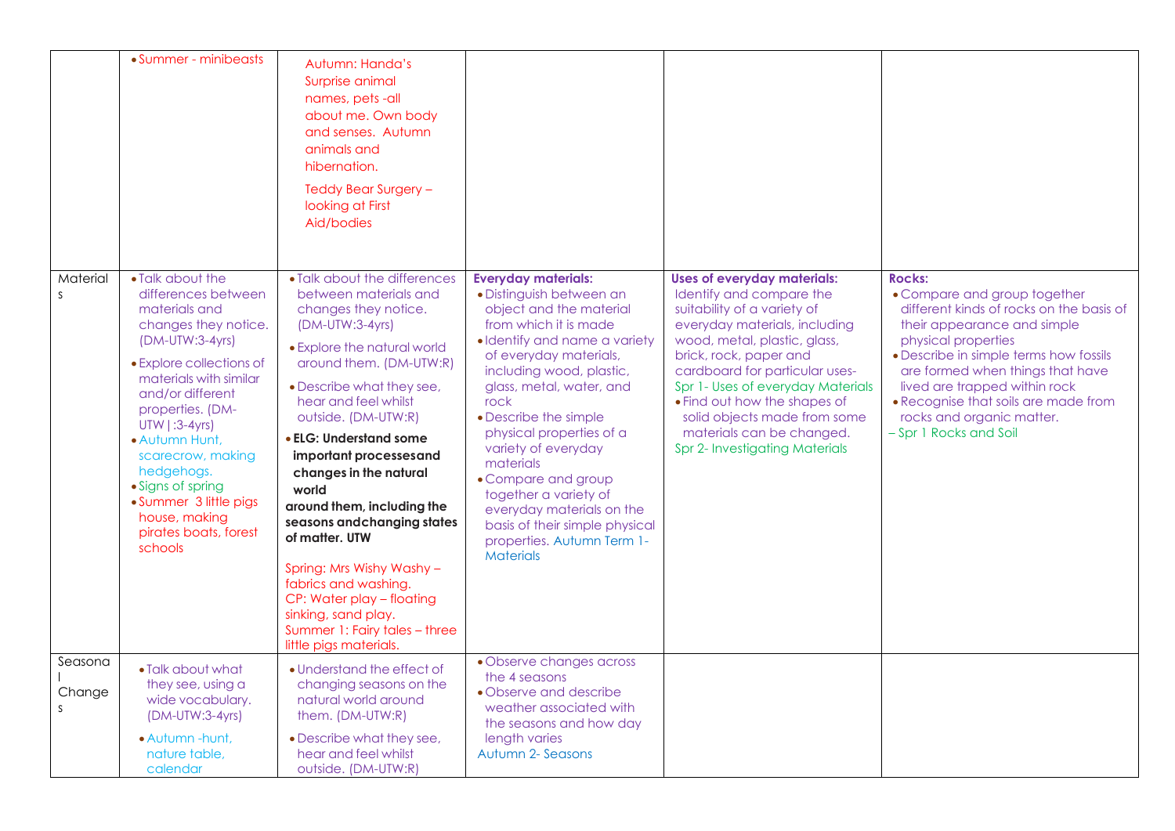|                          | • Summer - minibeasts                                                                                                                                                                                                                                                                                                                                                          | Autumn: Handa's<br>Surprise animal<br>names, pets-all<br>about me. Own body<br>and senses. Autumn<br>animals and<br>hibernation.<br>Teddy Bear Surgery -<br>looking at First<br>Aid/bodies                                                                                                                                                                                                                                                                                                                                                                                       |                                                                                                                                                                                                                                                                                                                                                                                                                                                                                                 |                                                                                                                                                                                                                                                                                                                                                                                                |                                                                                                                                                                                                                                                                                                                                                               |
|--------------------------|--------------------------------------------------------------------------------------------------------------------------------------------------------------------------------------------------------------------------------------------------------------------------------------------------------------------------------------------------------------------------------|----------------------------------------------------------------------------------------------------------------------------------------------------------------------------------------------------------------------------------------------------------------------------------------------------------------------------------------------------------------------------------------------------------------------------------------------------------------------------------------------------------------------------------------------------------------------------------|-------------------------------------------------------------------------------------------------------------------------------------------------------------------------------------------------------------------------------------------------------------------------------------------------------------------------------------------------------------------------------------------------------------------------------------------------------------------------------------------------|------------------------------------------------------------------------------------------------------------------------------------------------------------------------------------------------------------------------------------------------------------------------------------------------------------------------------------------------------------------------------------------------|---------------------------------------------------------------------------------------------------------------------------------------------------------------------------------------------------------------------------------------------------------------------------------------------------------------------------------------------------------------|
| Material<br>$\mathsf{S}$ | • Talk about the<br>differences between<br>materials and<br>changes they notice.<br>$(DM-UTW:3-4yrs)$<br>• Explore collections of<br>materials with similar<br>and/or different<br>properties. (DM-<br>UTW   :3-4yrs)<br>· Autumn Hunt,<br>scarecrow, making<br>hedgehogs.<br>• Signs of spring<br>• Summer 3 little pigs<br>house, making<br>pirates boats, forest<br>schools | • Talk about the differences<br>between materials and<br>changes they notice.<br>(DM-UTW:3-4yrs)<br>• Explore the natural world<br>around them. (DM-UTW:R)<br>• Describe what they see,<br>hear and feel whilst<br>outside. (DM-UTW:R)<br>• ELG: Understand some<br>important processesand<br>changes in the natural<br>world<br>around them, including the<br>seasons and changing states<br>of matter. UTW<br>Spring: Mrs Wishy Washy -<br>fabrics and washing.<br>CP: Water play - floating<br>sinking, sand play.<br>Summer 1: Fairy tales - three<br>little pigs materials. | <b>Everyday materials:</b><br>· Distinguish between an<br>object and the material<br>from which it is made<br>· Identify and name a variety<br>of everyday materials,<br>including wood, plastic,<br>glass, metal, water, and<br>rock<br>• Describe the simple<br>physical properties of a<br>variety of everyday<br>materials<br>• Compare and group<br>together a variety of<br>everyday materials on the<br>basis of their simple physical<br>properties. Autumn Term 1-<br><b>Materials</b> | <b>Uses of everyday materials:</b><br>Identify and compare the<br>suitability of a variety of<br>everyday materials, including<br>wood, metal, plastic, glass,<br>brick, rock, paper and<br>cardboard for particular uses-<br>Spr 1- Uses of everyday Materials<br>• Find out how the shapes of<br>solid objects made from some<br>materials can be changed.<br>Spr 2- Investigating Materials | <b>Rocks:</b><br>• Compare and group together<br>different kinds of rocks on the basis of<br>their appearance and simple<br>physical properties<br>• Describe in simple terms how fossils<br>are formed when things that have<br>lived are trapped within rock<br>• Recognise that soils are made from<br>rocks and organic matter.<br>- Spr 1 Rocks and Soil |
| Seasona<br>Change<br>S   | • Talk about what<br>they see, using a<br>wide vocabulary.<br>(DM-UTW:3-4yrs)<br>· Autumn -hunt,<br>nature table,<br>calendar                                                                                                                                                                                                                                                  | • Understand the effect of<br>changing seasons on the<br>natural world around<br>them. (DM-UTW:R)<br>• Describe what they see,<br>hear and feel whilst<br>outside. (DM-UTW:R)                                                                                                                                                                                                                                                                                                                                                                                                    | • Observe changes across<br>the 4 seasons<br>• Observe and describe<br>weather associated with<br>the seasons and how day<br>length varies<br>Autumn 2- Seasons                                                                                                                                                                                                                                                                                                                                 |                                                                                                                                                                                                                                                                                                                                                                                                |                                                                                                                                                                                                                                                                                                                                                               |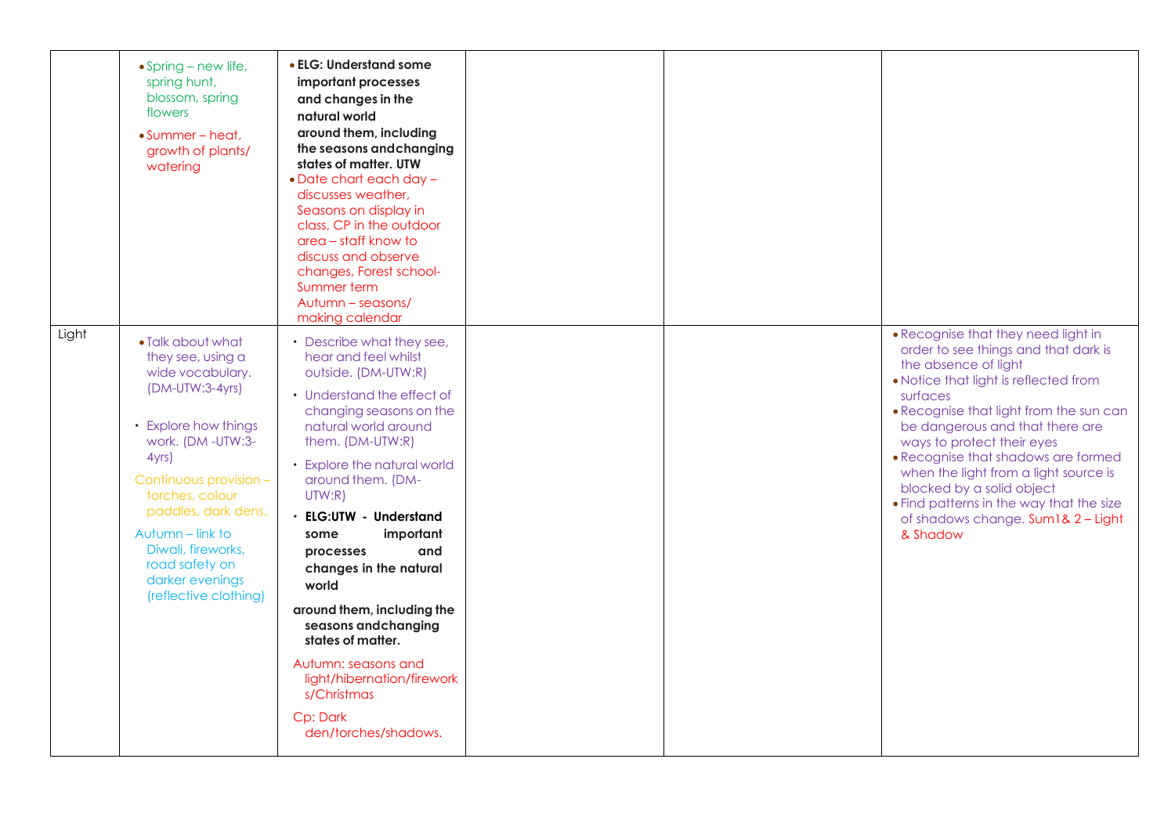|       | $\bullet$ Spring – new life,<br>spring hunt,<br>blossom, spring<br>flowers<br>$\bullet$ Summer – heat.<br>growth of plants/<br>watering                                                                                                                                                                       | • ELG: Understand some<br>important processes<br>and changes in the<br>natural world<br>around them, including<br>the seasons and changing<br>states of matter, UTW<br>$\bullet$ Date chart each day $-$<br>discusses weather,<br>Seasons on display in<br>class, CP in the outdoor<br>area – staff know to<br>discuss and observe<br>changes, Forest school-<br>Summer term<br>Autumn - seasons/<br>making calendar                                                                                                                      |  |                                                                                                                                                                                                                                                                                                                                                                                                                                                                                 |
|-------|---------------------------------------------------------------------------------------------------------------------------------------------------------------------------------------------------------------------------------------------------------------------------------------------------------------|-------------------------------------------------------------------------------------------------------------------------------------------------------------------------------------------------------------------------------------------------------------------------------------------------------------------------------------------------------------------------------------------------------------------------------------------------------------------------------------------------------------------------------------------|--|---------------------------------------------------------------------------------------------------------------------------------------------------------------------------------------------------------------------------------------------------------------------------------------------------------------------------------------------------------------------------------------------------------------------------------------------------------------------------------|
| Light | • Talk about what<br>they see, using a<br>wide vocabulary.<br>(DM-UTW:3-4yrs)<br>• Explore how things<br>work. (DM-UTW:3-<br>4yrs<br>Continuous provision -<br>torches, colour<br>paddles, dark dens.<br>Autumn - link to<br>Diwali, fireworks,<br>road safety on<br>darker evenings<br>(reflective clothing) | • Describe what they see,<br>hear and feel whilst<br>outside. (DM-UTW:R)<br>• Understand the effect of<br>changing seasons on the<br>natural world around<br>them. (DM-UTW:R)<br>• Explore the natural world<br>around them. (DM-<br>UTW:R)<br><b>ELG:UTW - Understand</b><br>important<br>some<br>and<br>processes<br>changes in the natural<br>world<br>around them, including the<br>seasons and changing<br>states of matter.<br>Autumn: seasons and<br>light/hibernation/firework<br>s/Christmas<br>Cp: Dark<br>den/torches/shadows. |  | • Recognise that they need light in<br>order to see things and that dark is<br>the absence of light<br>• Notice that light is reflected from<br>surfaces<br>• Recognise that light from the sun can<br>be dangerous and that there are<br>ways to protect their eyes<br>• Recognise that shadows are formed<br>when the light from a light source is<br>blocked by a solid object<br>• Find patterns in the way that the size<br>of shadows change. Sum1& 2 - Light<br>& Shadow |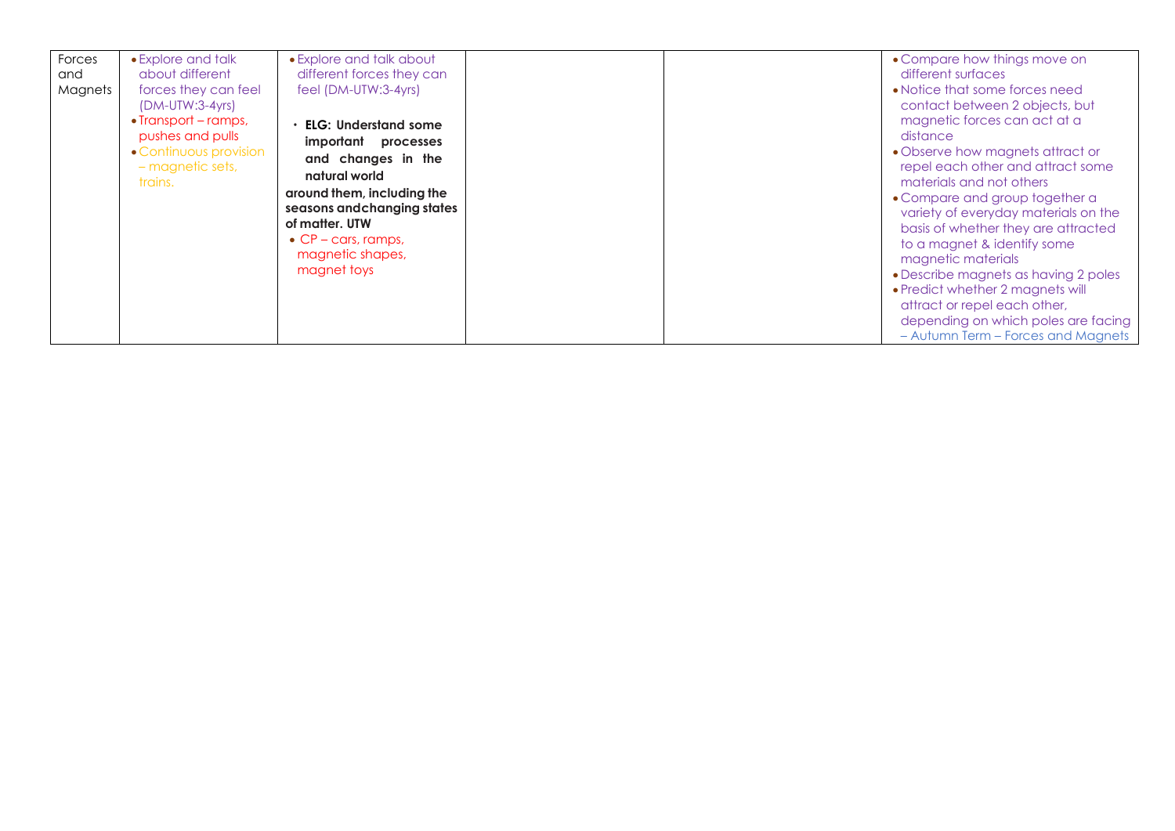| Forces<br>and<br>Magnets | • Explore and talk<br>about different<br>forces they can feel<br>$(DM-UTW:3-4yrs)$<br>• Transport – ramps, | • Explore and talk about<br>different forces they can<br>feel (DM-UTW:3-4yrs)<br><b>ELG: Understand some</b>                                                                                                   |  | • Compare how things move on<br>different surfaces<br>• Notice that some forces need<br>contact between 2 objects, but<br>magnetic forces can act at a                                                                                                                                                                                                                                                                                                                       |
|--------------------------|------------------------------------------------------------------------------------------------------------|----------------------------------------------------------------------------------------------------------------------------------------------------------------------------------------------------------------|--|------------------------------------------------------------------------------------------------------------------------------------------------------------------------------------------------------------------------------------------------------------------------------------------------------------------------------------------------------------------------------------------------------------------------------------------------------------------------------|
|                          | pushes and pulls<br>• Continuous provision<br>- magnetic sets,<br>trains.                                  | important<br>processes<br>and changes in the<br>natural world<br>around them, including the<br>seasons and changing states<br>of matter. UTW<br>$\bullet$ CP – cars, ramps,<br>magnetic shapes,<br>magnet toys |  | distance<br>• Observe how magnets attract or<br>repel each other and attract some<br>materials and not others<br>• Compare and group together a<br>variety of everyday materials on the<br>basis of whether they are attracted<br>to a magnet & identify some<br>magnetic materials<br>• Describe magnets as having 2 poles<br>• Predict whether 2 magnets will<br>attract or repel each other,<br>depending on which poles are facing<br>- Autumn Term - Forces and Magnets |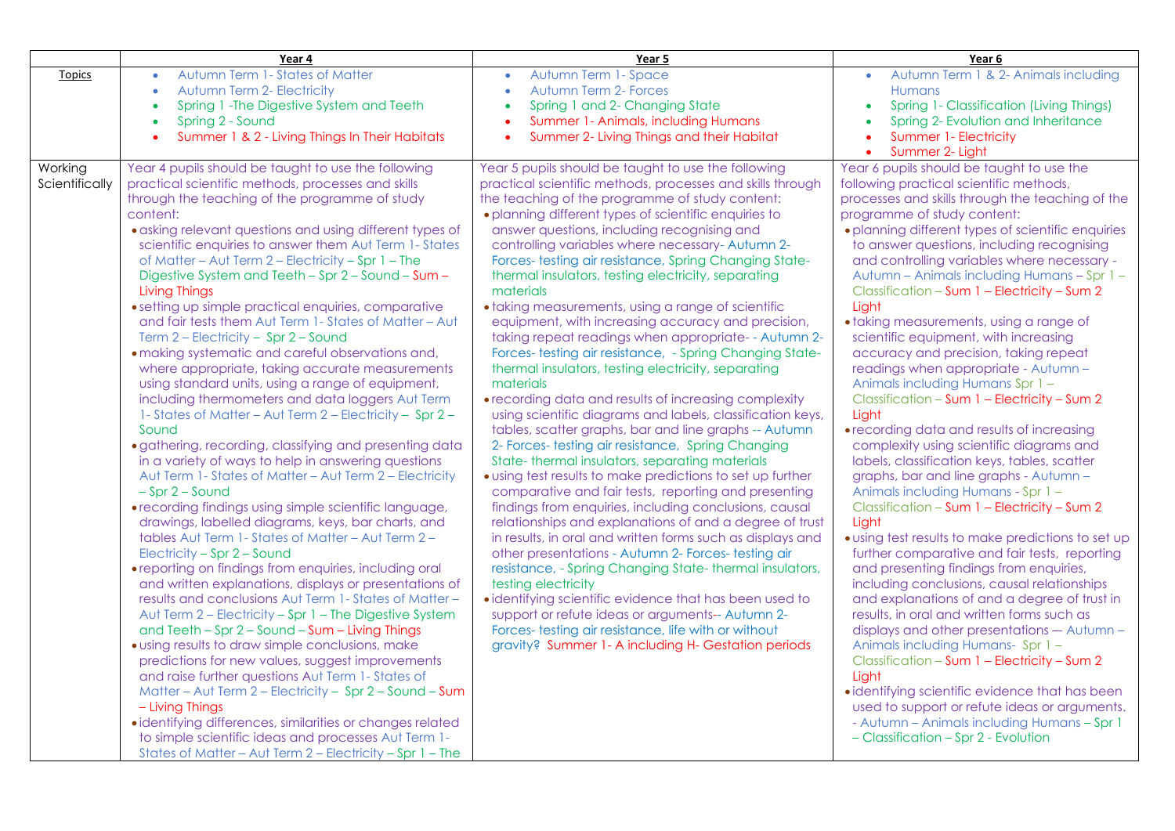|                           | Year 4                                                                                                                                                                                                                                                                                                                                                                                                                                                                                                                                                                                                                                                                                                                                                                                                                                                                                                                                                                                                                                                                                                                                                                                                                                                                                                                                                                                                                                                                                                                                                                                                                                                                                                                                                                                                                                                                                                                                                                                                              | Year 5                                                                                                                                                                                                                                                                                                                                                                                                                                                                                                                                                                                                                                                                                                                                                                                                                                                                                                                                                                                                                                                                                                                                                                                                                                                                                                                                                                                                                                                                                                                                                                                                                                                                                                                                   | Year 6                                                                                                                                                                                                                                                                                                                                                                                                                                                                                                                                                                                                                                                                                                                                                                                                                                                                                                                                                                                                                                                                                                                                                                                                                                                                                                                                                                                                                                                                                                                                                                                                                         |
|---------------------------|---------------------------------------------------------------------------------------------------------------------------------------------------------------------------------------------------------------------------------------------------------------------------------------------------------------------------------------------------------------------------------------------------------------------------------------------------------------------------------------------------------------------------------------------------------------------------------------------------------------------------------------------------------------------------------------------------------------------------------------------------------------------------------------------------------------------------------------------------------------------------------------------------------------------------------------------------------------------------------------------------------------------------------------------------------------------------------------------------------------------------------------------------------------------------------------------------------------------------------------------------------------------------------------------------------------------------------------------------------------------------------------------------------------------------------------------------------------------------------------------------------------------------------------------------------------------------------------------------------------------------------------------------------------------------------------------------------------------------------------------------------------------------------------------------------------------------------------------------------------------------------------------------------------------------------------------------------------------------------------------------------------------|------------------------------------------------------------------------------------------------------------------------------------------------------------------------------------------------------------------------------------------------------------------------------------------------------------------------------------------------------------------------------------------------------------------------------------------------------------------------------------------------------------------------------------------------------------------------------------------------------------------------------------------------------------------------------------------------------------------------------------------------------------------------------------------------------------------------------------------------------------------------------------------------------------------------------------------------------------------------------------------------------------------------------------------------------------------------------------------------------------------------------------------------------------------------------------------------------------------------------------------------------------------------------------------------------------------------------------------------------------------------------------------------------------------------------------------------------------------------------------------------------------------------------------------------------------------------------------------------------------------------------------------------------------------------------------------------------------------------------------------|--------------------------------------------------------------------------------------------------------------------------------------------------------------------------------------------------------------------------------------------------------------------------------------------------------------------------------------------------------------------------------------------------------------------------------------------------------------------------------------------------------------------------------------------------------------------------------------------------------------------------------------------------------------------------------------------------------------------------------------------------------------------------------------------------------------------------------------------------------------------------------------------------------------------------------------------------------------------------------------------------------------------------------------------------------------------------------------------------------------------------------------------------------------------------------------------------------------------------------------------------------------------------------------------------------------------------------------------------------------------------------------------------------------------------------------------------------------------------------------------------------------------------------------------------------------------------------------------------------------------------------|
| <b>Topics</b>             | Autumn Term 1 - States of Matter<br>$\bullet$<br><b>Autumn Term 2- Electricity</b><br>$\bullet$<br>Spring 1 - The Digestive System and Teeth<br>$\bullet$<br>Spring 2 - Sound<br>$\bullet$<br>Summer 1 & 2 - Living Things In Their Habitats<br>$\bullet$                                                                                                                                                                                                                                                                                                                                                                                                                                                                                                                                                                                                                                                                                                                                                                                                                                                                                                                                                                                                                                                                                                                                                                                                                                                                                                                                                                                                                                                                                                                                                                                                                                                                                                                                                           | Autumn Term 1- Space<br><b>Autumn Term 2- Forces</b><br>$\bullet$<br>Spring 1 and 2- Changing State<br>Summer 1- Animals, including Humans<br>Summer 2- Living Things and their Habitat                                                                                                                                                                                                                                                                                                                                                                                                                                                                                                                                                                                                                                                                                                                                                                                                                                                                                                                                                                                                                                                                                                                                                                                                                                                                                                                                                                                                                                                                                                                                                  | Autumn Term 1 & 2- Animals including<br><b>Humans</b><br>Spring 1- Classification (Living Things)<br>Spring 2- Evolution and Inheritance<br>Summer 1- Electricity<br>$\bullet$<br>Summer 2- Light<br>$\bullet$                                                                                                                                                                                                                                                                                                                                                                                                                                                                                                                                                                                                                                                                                                                                                                                                                                                                                                                                                                                                                                                                                                                                                                                                                                                                                                                                                                                                                 |
| Working<br>Scientifically | Year 4 pupils should be taught to use the following<br>practical scientific methods, processes and skills<br>through the teaching of the programme of study<br>content:<br>• asking relevant questions and using different types of<br>scientific enquiries to answer them Aut Term 1- States<br>of Matter - Aut Term 2 - Electricity - Spr 1 - The<br>Digestive System and Teeth - Spr 2 - Sound - Sum -<br><b>Living Things</b><br>• setting up simple practical enquiries, comparative<br>and fair tests them Aut Term 1- States of Matter - Aut<br>Term 2 - Electricity - Spr 2 - Sound<br>· making systematic and careful observations and,<br>where appropriate, taking accurate measurements<br>using standard units, using a range of equipment,<br>including thermometers and data loggers Aut Term<br>1- States of Matter - Aut Term 2 - Electricity - Spr 2 -<br>Sound<br>· gathering, recording, classifying and presenting data<br>in a variety of ways to help in answering questions<br>Aut Term 1- States of Matter - Aut Term 2 - Electricity<br>$-$ Spr $2 -$ Sound<br>• recording findings using simple scientific language,<br>drawings, labelled diagrams, keys, bar charts, and<br>tables Aut Term 1- States of Matter - Aut Term 2 -<br>Electricity - Spr 2 - Sound<br>• reporting on findings from enquiries, including oral<br>and written explanations, displays or presentations of<br>results and conclusions Aut Term 1- States of Matter-<br>Aut Term 2 - Electricity - Spr 1 - The Digestive System<br>and Teeth - Spr 2 - Sound - Sum - Living Things<br>· using results to draw simple conclusions, make<br>predictions for new values, suggest improvements<br>and raise further questions Aut Term 1- States of<br>Matter - Aut Term 2 - Electricity - Spr 2 - Sound - Sum<br>- Living Things<br>· identifying differences, similarities or changes related<br>to simple scientific ideas and processes Aut Term 1-<br>States of Matter - Aut Term 2 - Electricity - Spr 1 - The | Year 5 pupils should be taught to use the following<br>practical scientific methods, processes and skills through<br>the teaching of the programme of study content:<br>• planning different types of scientific enquiries to<br>answer questions, including recognising and<br>controlling variables where necessary-Autumn 2-<br>Forces- testing air resistance, Spring Changing State-<br>thermal insulators, testing electricity, separating<br>materials<br>• taking measurements, using a range of scientific<br>equipment, with increasing accuracy and precision,<br>taking repeat readings when appropriate--Autumn 2-<br>Forces- testing air resistance, - Spring Changing State-<br>thermal insulators, testing electricity, separating<br>materials<br>• recording data and results of increasing complexity<br>using scientific diagrams and labels, classification keys,<br>tables, scatter graphs, bar and line graphs -- Autumn<br>2- Forces- testing air resistance, Spring Changing<br>State-thermal insulators, separating materials<br>• using test results to make predictions to set up further<br>comparative and fair tests, reporting and presenting<br>findings from enquiries, including conclusions, causal<br>relationships and explanations of and a degree of trust<br>in results, in oral and written forms such as displays and<br>other presentations - Autumn 2- Forces- testing air<br>resistance, - Spring Changing State- thermal insulators,<br>testing electricity<br>• identifying scientific evidence that has been used to<br>support or refute ideas or arguments-- Autumn 2-<br>Forces- testing air resistance, life with or without<br>gravity? Summer 1- A including H- Gestation periods | Year 6 pupils should be taught to use the<br>following practical scientific methods,<br>processes and skills through the teaching of the<br>programme of study content:<br>• planning different types of scientific enquiries<br>to answer questions, including recognising<br>and controlling variables where necessary -<br>Autumn - Animals including Humans - Spr 1 -<br>Classification - Sum 1 - Electricity - Sum 2<br>Light<br>• taking measurements, using a range of<br>scientific equipment, with increasing<br>accuracy and precision, taking repeat<br>readings when appropriate - Autumn -<br>Animals including Humans Spr 1-<br>Classification - Sum 1 - Electricity - Sum 2<br>Light<br>• recording data and results of increasing<br>complexity using scientific diagrams and<br>labels, classification keys, tables, scatter<br>graphs, bar and line graphs - Autumn -<br>Animals including Humans - Spr 1 -<br>Classification - Sum 1 - Electricity - Sum 2<br>Light<br>• using test results to make predictions to set up<br>further comparative and fair tests, reporting<br>and presenting findings from enquiries,<br>including conclusions, causal relationships<br>and explanations of and a degree of trust in<br>results, in oral and written forms such as<br>displays and other presentations -- Autumn -<br>Animals including Humans- Spr 1 -<br>Classification - Sum 1 - Electricity - Sum 2<br>Light<br>· identifying scientific evidence that has been<br>used to support or refute ideas or arguments.<br>- Autumn - Animals including Humans - Spr 1<br>- Classification - Spr 2 - Evolution |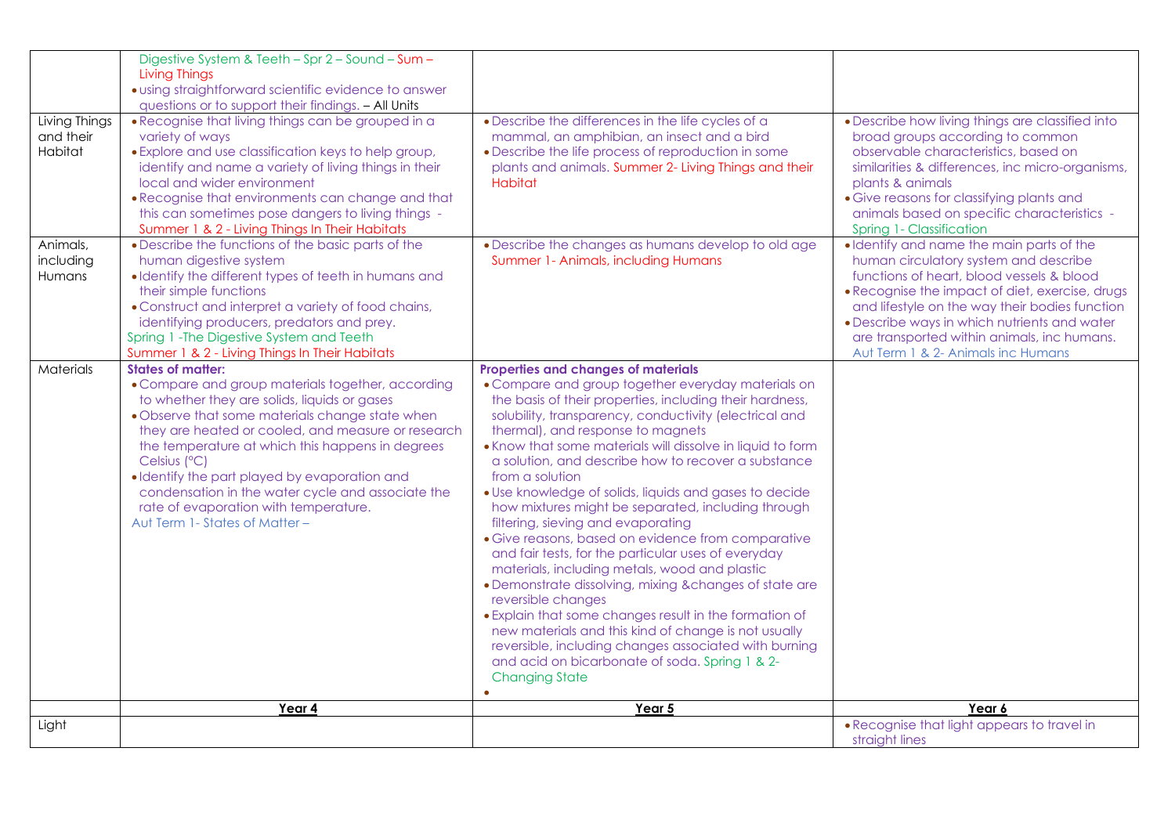|                                                   | Digestive System & Teeth - Spr 2 - Sound - Sum -<br><b>Living Things</b>                                                                                                                                                                                                                                                                                                                                                                                       |                                                                                                                                                                                                                                                                                                                                                                                                                                                                                                                                                                                                                                                                                                                                                                                                                                                                                                                                                                                                                  |                                                                                                                                                                                                                                                                                                                                                                           |
|---------------------------------------------------|----------------------------------------------------------------------------------------------------------------------------------------------------------------------------------------------------------------------------------------------------------------------------------------------------------------------------------------------------------------------------------------------------------------------------------------------------------------|------------------------------------------------------------------------------------------------------------------------------------------------------------------------------------------------------------------------------------------------------------------------------------------------------------------------------------------------------------------------------------------------------------------------------------------------------------------------------------------------------------------------------------------------------------------------------------------------------------------------------------------------------------------------------------------------------------------------------------------------------------------------------------------------------------------------------------------------------------------------------------------------------------------------------------------------------------------------------------------------------------------|---------------------------------------------------------------------------------------------------------------------------------------------------------------------------------------------------------------------------------------------------------------------------------------------------------------------------------------------------------------------------|
|                                                   | · using straightforward scientific evidence to answer                                                                                                                                                                                                                                                                                                                                                                                                          |                                                                                                                                                                                                                                                                                                                                                                                                                                                                                                                                                                                                                                                                                                                                                                                                                                                                                                                                                                                                                  |                                                                                                                                                                                                                                                                                                                                                                           |
|                                                   | questions or to support their findings. - All Units                                                                                                                                                                                                                                                                                                                                                                                                            |                                                                                                                                                                                                                                                                                                                                                                                                                                                                                                                                                                                                                                                                                                                                                                                                                                                                                                                                                                                                                  |                                                                                                                                                                                                                                                                                                                                                                           |
| Living Things<br>and their<br>Habitat<br>Animals, | • Recognise that living things can be grouped in a<br>variety of ways<br>• Explore and use classification keys to help group,<br>identify and name a variety of living things in their<br>local and wider environment<br>. Recognise that environments can change and that<br>this can sometimes pose dangers to living things -<br>Summer 1 & 2 - Living Things In Their Habitats<br>• Describe the functions of the basic parts of the                       | • Describe the differences in the life cycles of a<br>mammal, an amphibian, an insect and a bird<br>• Describe the life process of reproduction in some<br>plants and animals. Summer 2- Living Things and their<br>Habitat                                                                                                                                                                                                                                                                                                                                                                                                                                                                                                                                                                                                                                                                                                                                                                                      | • Describe how living things are classified into<br>broad groups according to common<br>observable characteristics, based on<br>similarities & differences, inc micro-organisms,<br>plants & animals<br>· Give reasons for classifying plants and<br>animals based on specific characteristics -<br>Spring 1- Classification<br>· Identify and name the main parts of the |
| including                                         | human digestive system                                                                                                                                                                                                                                                                                                                                                                                                                                         | . Describe the changes as humans develop to old age<br>Summer 1- Animals, including Humans                                                                                                                                                                                                                                                                                                                                                                                                                                                                                                                                                                                                                                                                                                                                                                                                                                                                                                                       | human circulatory system and describe                                                                                                                                                                                                                                                                                                                                     |
| Humans                                            | • Identify the different types of teeth in humans and                                                                                                                                                                                                                                                                                                                                                                                                          |                                                                                                                                                                                                                                                                                                                                                                                                                                                                                                                                                                                                                                                                                                                                                                                                                                                                                                                                                                                                                  | functions of heart, blood vessels & blood                                                                                                                                                                                                                                                                                                                                 |
|                                                   | their simple functions                                                                                                                                                                                                                                                                                                                                                                                                                                         |                                                                                                                                                                                                                                                                                                                                                                                                                                                                                                                                                                                                                                                                                                                                                                                                                                                                                                                                                                                                                  | . Recognise the impact of diet, exercise, drugs                                                                                                                                                                                                                                                                                                                           |
|                                                   | • Construct and interpret a variety of food chains,<br>identifying producers, predators and prey.                                                                                                                                                                                                                                                                                                                                                              |                                                                                                                                                                                                                                                                                                                                                                                                                                                                                                                                                                                                                                                                                                                                                                                                                                                                                                                                                                                                                  | and lifestyle on the way their bodies function<br>• Describe ways in which nutrients and water                                                                                                                                                                                                                                                                            |
|                                                   | Spring 1-The Digestive System and Teeth                                                                                                                                                                                                                                                                                                                                                                                                                        |                                                                                                                                                                                                                                                                                                                                                                                                                                                                                                                                                                                                                                                                                                                                                                                                                                                                                                                                                                                                                  | are transported within animals, inc humans.                                                                                                                                                                                                                                                                                                                               |
|                                                   | Summer 1 & 2 - Living Things In Their Habitats                                                                                                                                                                                                                                                                                                                                                                                                                 |                                                                                                                                                                                                                                                                                                                                                                                                                                                                                                                                                                                                                                                                                                                                                                                                                                                                                                                                                                                                                  | Aut Term 1 & 2- Animals inc Humans                                                                                                                                                                                                                                                                                                                                        |
| <b>Materials</b>                                  | <b>States of matter:</b>                                                                                                                                                                                                                                                                                                                                                                                                                                       | Properties and changes of materials                                                                                                                                                                                                                                                                                                                                                                                                                                                                                                                                                                                                                                                                                                                                                                                                                                                                                                                                                                              |                                                                                                                                                                                                                                                                                                                                                                           |
|                                                   | • Compare and group materials together, according<br>to whether they are solids, liquids or gases<br>• Observe that some materials change state when<br>they are heated or cooled, and measure or research<br>the temperature at which this happens in degrees<br>Celsius (°C)<br>• Identify the part played by evaporation and<br>condensation in the water cycle and associate the<br>rate of evaporation with temperature.<br>Aut Term 1- States of Matter- | • Compare and group together everyday materials on<br>the basis of their properties, including their hardness,<br>solubility, transparency, conductivity (electrical and<br>thermal), and response to magnets<br>. Know that some materials will dissolve in liquid to form<br>a solution, and describe how to recover a substance<br>from a solution<br>• Use knowledge of solids, liquids and gases to decide<br>how mixtures might be separated, including through<br>filtering, sieving and evaporating<br>· Give reasons, based on evidence from comparative<br>and fair tests, for the particular uses of everyday<br>materials, including metals, wood and plastic<br>• Demonstrate dissolving, mixing & changes of state are<br>reversible changes<br>• Explain that some changes result in the formation of<br>new materials and this kind of change is not usually<br>reversible, including changes associated with burning<br>and acid on bicarbonate of soda. Spring 1 & 2-<br><b>Changing State</b> |                                                                                                                                                                                                                                                                                                                                                                           |
|                                                   | Year 4                                                                                                                                                                                                                                                                                                                                                                                                                                                         | Year 5                                                                                                                                                                                                                                                                                                                                                                                                                                                                                                                                                                                                                                                                                                                                                                                                                                                                                                                                                                                                           | Year 6                                                                                                                                                                                                                                                                                                                                                                    |
| Light                                             |                                                                                                                                                                                                                                                                                                                                                                                                                                                                |                                                                                                                                                                                                                                                                                                                                                                                                                                                                                                                                                                                                                                                                                                                                                                                                                                                                                                                                                                                                                  | • Recognise that light appears to travel in<br>straight lines                                                                                                                                                                                                                                                                                                             |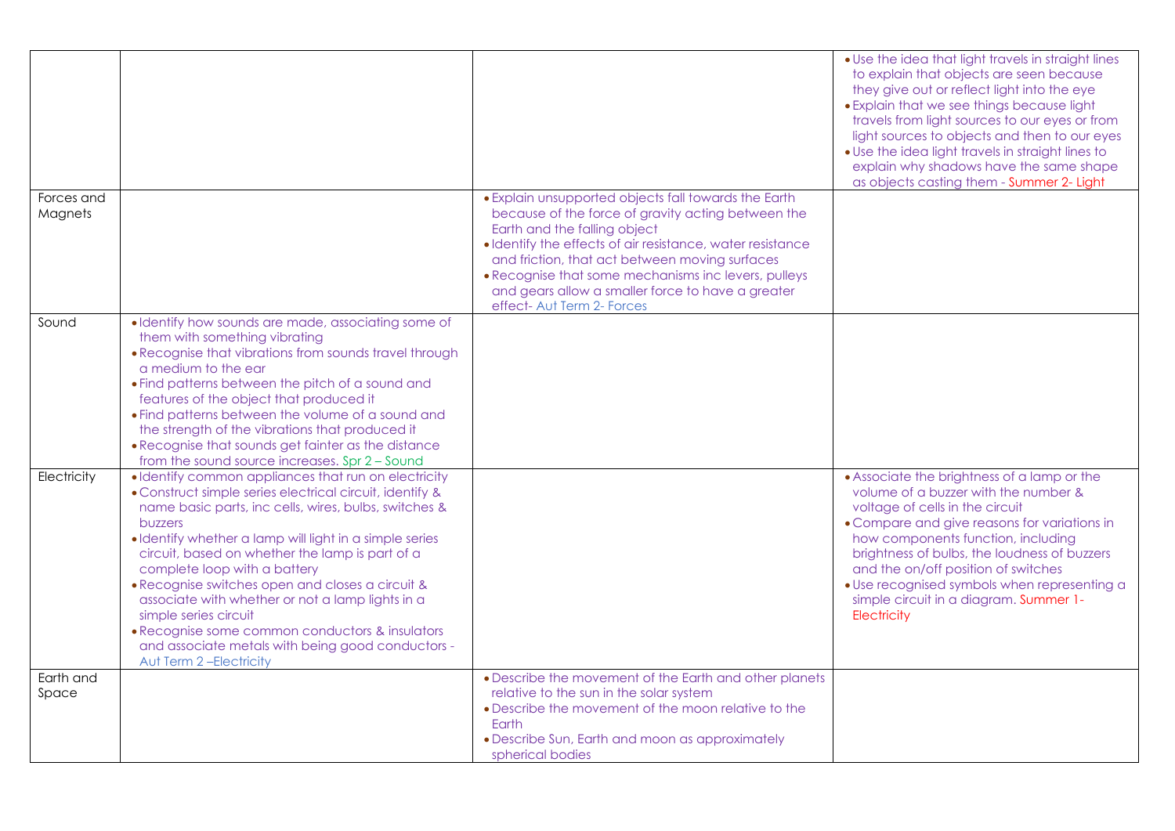|             |                                                                                                                                                                                                                                                                                                                                                                                                                                                                |                                                                                                | • Use the idea that light travels in straight lines<br>to explain that objects are seen because<br>they give out or reflect light into the eye<br>• Explain that we see things because light<br>travels from light sources to our eyes or from<br>light sources to objects and then to our eyes<br>. Use the idea light travels in straight lines to<br>explain why shadows have the same shape<br>as objects casting them - Summer 2- Light |
|-------------|----------------------------------------------------------------------------------------------------------------------------------------------------------------------------------------------------------------------------------------------------------------------------------------------------------------------------------------------------------------------------------------------------------------------------------------------------------------|------------------------------------------------------------------------------------------------|----------------------------------------------------------------------------------------------------------------------------------------------------------------------------------------------------------------------------------------------------------------------------------------------------------------------------------------------------------------------------------------------------------------------------------------------|
| Forces and  |                                                                                                                                                                                                                                                                                                                                                                                                                                                                | • Explain unsupported objects fall towards the Earth                                           |                                                                                                                                                                                                                                                                                                                                                                                                                                              |
| Magnets     |                                                                                                                                                                                                                                                                                                                                                                                                                                                                | because of the force of gravity acting between the<br>Earth and the falling object             |                                                                                                                                                                                                                                                                                                                                                                                                                                              |
|             |                                                                                                                                                                                                                                                                                                                                                                                                                                                                | · Identify the effects of air resistance, water resistance                                     |                                                                                                                                                                                                                                                                                                                                                                                                                                              |
|             |                                                                                                                                                                                                                                                                                                                                                                                                                                                                | and friction, that act between moving surfaces                                                 |                                                                                                                                                                                                                                                                                                                                                                                                                                              |
|             |                                                                                                                                                                                                                                                                                                                                                                                                                                                                | . Recognise that some mechanisms inc levers, pulleys                                           |                                                                                                                                                                                                                                                                                                                                                                                                                                              |
|             |                                                                                                                                                                                                                                                                                                                                                                                                                                                                | and gears allow a smaller force to have a greater                                              |                                                                                                                                                                                                                                                                                                                                                                                                                                              |
|             |                                                                                                                                                                                                                                                                                                                                                                                                                                                                | effect- Aut Term 2- Forces                                                                     |                                                                                                                                                                                                                                                                                                                                                                                                                                              |
| Sound       | · Identify how sounds are made, associating some of<br>them with something vibrating                                                                                                                                                                                                                                                                                                                                                                           |                                                                                                |                                                                                                                                                                                                                                                                                                                                                                                                                                              |
|             | • Recognise that vibrations from sounds travel through                                                                                                                                                                                                                                                                                                                                                                                                         |                                                                                                |                                                                                                                                                                                                                                                                                                                                                                                                                                              |
|             | a medium to the ear                                                                                                                                                                                                                                                                                                                                                                                                                                            |                                                                                                |                                                                                                                                                                                                                                                                                                                                                                                                                                              |
|             | • Find patterns between the pitch of a sound and                                                                                                                                                                                                                                                                                                                                                                                                               |                                                                                                |                                                                                                                                                                                                                                                                                                                                                                                                                                              |
|             | features of the object that produced it                                                                                                                                                                                                                                                                                                                                                                                                                        |                                                                                                |                                                                                                                                                                                                                                                                                                                                                                                                                                              |
|             | • Find patterns between the volume of a sound and                                                                                                                                                                                                                                                                                                                                                                                                              |                                                                                                |                                                                                                                                                                                                                                                                                                                                                                                                                                              |
|             | the strength of the vibrations that produced it                                                                                                                                                                                                                                                                                                                                                                                                                |                                                                                                |                                                                                                                                                                                                                                                                                                                                                                                                                                              |
|             | • Recognise that sounds get fainter as the distance<br>from the sound source increases. Spr 2 - Sound                                                                                                                                                                                                                                                                                                                                                          |                                                                                                |                                                                                                                                                                                                                                                                                                                                                                                                                                              |
| Electricity | · Identify common appliances that run on electricity                                                                                                                                                                                                                                                                                                                                                                                                           |                                                                                                | • Associate the brightness of a lamp or the                                                                                                                                                                                                                                                                                                                                                                                                  |
|             | • Construct simple series electrical circuit, identify &<br>name basic parts, inc cells, wires, bulbs, switches &<br>buzzers<br>· Identify whether a lamp will light in a simple series<br>circuit, based on whether the lamp is part of a<br>complete loop with a battery<br>• Recognise switches open and closes a circuit &<br>associate with whether or not a lamp lights in a<br>simple series circuit<br>• Recognise some common conductors & insulators |                                                                                                | volume of a buzzer with the number &<br>voltage of cells in the circuit<br>• Compare and give reasons for variations in<br>how components function, including<br>brightness of bulbs, the loudness of buzzers<br>and the on/off position of switches<br>· Use recognised symbols when representing a<br>simple circuit in a diagram. Summer 1-<br>Electricity                                                                                |
|             | and associate metals with being good conductors -                                                                                                                                                                                                                                                                                                                                                                                                              |                                                                                                |                                                                                                                                                                                                                                                                                                                                                                                                                                              |
|             | Aut Term 2-Electricity                                                                                                                                                                                                                                                                                                                                                                                                                                         |                                                                                                |                                                                                                                                                                                                                                                                                                                                                                                                                                              |
| Earth and   |                                                                                                                                                                                                                                                                                                                                                                                                                                                                | • Describe the movement of the Earth and other planets                                         |                                                                                                                                                                                                                                                                                                                                                                                                                                              |
| Space       |                                                                                                                                                                                                                                                                                                                                                                                                                                                                | relative to the sun in the solar system<br>• Describe the movement of the moon relative to the |                                                                                                                                                                                                                                                                                                                                                                                                                                              |
|             |                                                                                                                                                                                                                                                                                                                                                                                                                                                                | Earth                                                                                          |                                                                                                                                                                                                                                                                                                                                                                                                                                              |
|             |                                                                                                                                                                                                                                                                                                                                                                                                                                                                | • Describe Sun, Earth and moon as approximately                                                |                                                                                                                                                                                                                                                                                                                                                                                                                                              |
|             |                                                                                                                                                                                                                                                                                                                                                                                                                                                                | spherical bodies                                                                               |                                                                                                                                                                                                                                                                                                                                                                                                                                              |